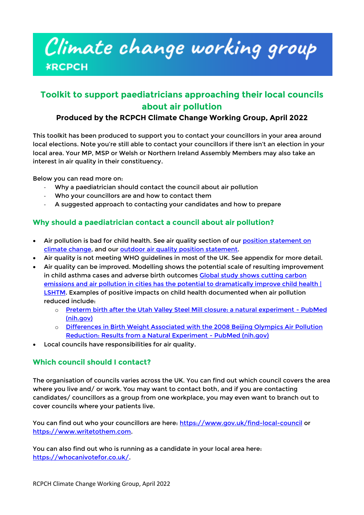# Climate change working group **¥RCPCH**

## **Toolkit to support paediatricians approaching their local councils about air pollution**

#### **Produced by the RCPCH Climate Change Working Group, April 2022**

This toolkit has been produced to support you to contact your councillors in your area around local elections. Note you're still able to contact your councillors if there isn't an election in your local area. Your MP, MSP or Welsh or Northern Ireland Assembly Members may also take an interest in air quality in their constituency.

Below you can read more on:

- Why a paediatrician should contact the council about air pollution
- Who your councillors are and how to contact them
- A suggested approach to contacting your candidates and how to prepare

#### **Why should a paediatrician contact a council about air pollution?**

- Air pollution is bad for child health. See air quality section of our [position statement on](https://www.rcpch.ac.uk/resources/impact-climate-change-global-child-health-position-statement)  [climate change,](https://www.rcpch.ac.uk/resources/impact-climate-change-global-child-health-position-statement) and our [outdoor air quality position](https://www.rcpch.ac.uk/resources/outdoor-air-quality-uk-position-statement) statement.
- Air quality is not meeting WHO guidelines in most of the UK. See appendix for more detail.
- Air quality can be improved. Modelling shows the potential scale of resulting improvement in child asthma cases and adverse birth outcomes Global study shows cutting carbon emissions and air pollution in cities has the potential to dramatically improve child health [ [LSHTM.](https://www.lshtm.ac.uk/newsevents/news/2021/global-study-shows-cutting-carbon-emissions-and-air-pollution-cities-has) Examples of positive impacts on child health documented when air pollution reduced include:
	- o [Preterm birth after the Utah Valley Steel Mill closure: a natural experiment -](https://pubmed.ncbi.nlm.nih.gov/18854706/) PubMed [\(nih.gov\)](https://pubmed.ncbi.nlm.nih.gov/18854706/)
	- o [Differences in Birth Weight Associated with the 2008 Beijing Olympics Air Pollution](https://pubmed.ncbi.nlm.nih.gov/25919693/)  [Reduction: Results from a Natural Experiment -](https://pubmed.ncbi.nlm.nih.gov/25919693/) PubMed (nih.gov)
- Local councils have responsibilities for air quality.

#### **Which council should I contact?**

The organisation of councils varies across the UK. You can find out which council covers the area where you live and/ or work. You may want to contact both, and if you are contacting candidates/ councillors as a group from one workplace, you may even want to branch out to cover councils where your patients live.

You can find out who your councillors are here:<https://www.gov.uk/find-local-council> or [https://www.writetothem.com.](https://www.writetothem.com/)

You can also find out who is running as a candidate in your local area here: [https://whocanivotefor.co.uk/.](https://whocanivotefor.co.uk/)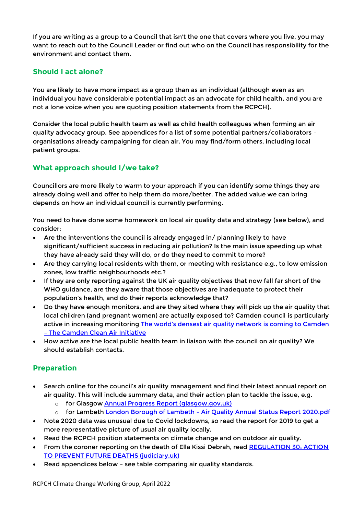If you are writing as a group to a Council that isn't the one that covers where you live, you may want to reach out to the Council Leader or find out who on the Council has responsibility for the environment and contact them.

### **Should I act alone?**

You are likely to have more impact as a group than as an individual (although even as an individual you have considerable potential impact as an advocate for child health, and you are not a lone voice when you are quoting position statements from the RCPCH).

Consider the local public health team as well as child health colleagues when forming an air quality advocacy group. See appendices for a list of some potential partners/collaborators – organisations already campaigning for clean air. You may find/form others, including local patient groups.

## **What approach should I/we take?**

Councillors are more likely to warm to your approach if you can identify some things they are already doing well and offer to help them do more/better. The added value we can bring depends on how an individual council is currently performing.

You need to have done some homework on local air quality data and strategy (see below), and consider:

- Are the interventions the council is already engaged in/ planning likely to have significant/sufficient success in reducing air pollution? Is the main issue speeding up what they have already said they will do, or do they need to commit to more?
- Are they carrying local residents with them, or meeting with resistance e.g., to low emission zones, low traffic neighbourhoods etc.?
- If they are only reporting against the UK air quality objectives that now fall far short of the WHO guidance, are they aware that those objectives are inadequate to protect their population's health, and do their reports acknowledge that?
- Do they have enough monitors, and are they sited where they will pick up the air quality that local children (and pregnant women) are actually exposed to? Camden council is particularly active in increasing monitoring The world's densest air quality network is coming to Camden – [The Camden Clean Air Initiative](https://camdencleanair.org/blog/the-worlds-densest-air-quality-network-is-coming-to-camden/)
- How active are the local public health team in liaison with the council on air quality? We should establish contacts.

## **Preparation**

- Search online for the council's air quality management and find their latest annual report on air quality. This will include summary data, and their action plan to tackle the issue, e.g.
	- o for Glasgow **[Annual Progress Report \(glasgow.gov.uk\)](https://glasgow.gov.uk/CHttpHandler.ashx?id=54895&p=0)**
	- o for Lambeth London Borough of Lambeth [Air Quality Annual Status Report 2020.pdf](https://beta.lambeth.gov.uk/sites/default/files/2021-08/London%20Borough%20of%20Lambeth%20-%20Air%20Quality%20Annual%20Status%20Report%202020.pdf)
- Note 2020 data was unusual due to Covid lockdowns, so read the report for 2019 to get a more representative picture of usual air quality locally.
- Read the RCPCH position statements on climate change and on outdoor air quality.
- From the coroner reporting on the death of Ella Kissi Debrah, read [REGULATION 30: ACTION](https://www.judiciary.uk/wp-content/uploads/2021/04/Ella-Kissi-Debrah-2021-0113-1.pdf)  [TO PREVENT FUTURE DEATHS \(judiciary.uk\)](https://www.judiciary.uk/wp-content/uploads/2021/04/Ella-Kissi-Debrah-2021-0113-1.pdf)
- Read appendices below see table comparing air quality standards.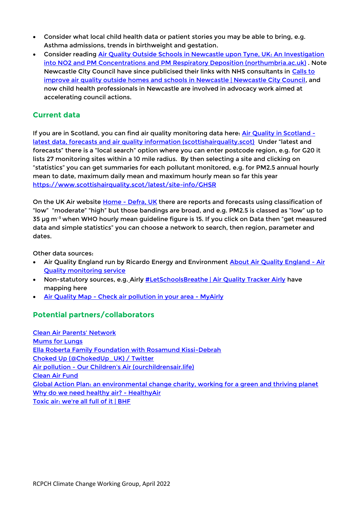- Consider what local child health data or patient stories you may be able to bring, e.g. Asthma admissions, trends in birthweight and gestation.
- Consider reading Air Quality Outside Schools in Newcastle upon Tyne, UK: An Investigation [into NO2 and PM Concentrations and PM Respiratory Deposition \(northumbria.ac.uk\)](https://researchportal.northumbria.ac.uk/ws/portalfiles/portal/65268763/atmosphere-13-00172.pdf). Note Newcastle City Council have since publicised their links with NHS consultants in [Calls to](https://www.newcastle.gov.uk/citylife-news/transport/calls-improve-air-quality-outside-homes-and-schools-newcastle?msclkid=52008c6aa69111ecbc16f14cf7a6f2d1)  [improve air quality outside homes and schools in Newcastle | Newcastle City Council,](https://www.newcastle.gov.uk/citylife-news/transport/calls-improve-air-quality-outside-homes-and-schools-newcastle?msclkid=52008c6aa69111ecbc16f14cf7a6f2d1) and now child health professionals in Newcastle are involved in advocacy work aimed at accelerating council actions.

#### **Current data**

If you are in Scotland, you can find air quality monitoring data here: [Air Quality in Scotland](http://www.scottishairquality.scot/)  [latest data, forecasts and air quality information \(scottishairquality.scot\)](http://www.scottishairquality.scot/) Under "latest and forecasts" there is a "local search" option where you can enter postcode region, e.g. for G20 it lists 27 monitoring sites within a 10 mile radius. By then selecting a site and clicking on "statistics" you can get summaries for each pollutant monitored, e.g. for PM2.5 annual hourly mean to date, maximum daily mean and maximum hourly mean so far this year <https://www.scottishairquality.scot/latest/site-info/GHSR>

On the UK Air website **Home - [Defra, UK](https://uk-air.defra.gov.uk/)** there are reports and forecasts using classification of "low" "moderate" "high" but those bandings are broad, and e.g. PM2.5 is classed as "low" up to 35 µg m<sup>-3</sup> when WHO hourly mean guideline figure is 15. If you click on Data then "get measured data and simple statistics" you can choose a network to search, then region, parameter and dates.

Other data sources:

- Air Quality England run by Ricardo Energy and Environment [About Air Quality England -](https://www.airqualityengland.co.uk/about) Air [Quality monitoring service](https://www.airqualityengland.co.uk/about)
- Non-statutory sources, e.g. Airly [#LetSchoolsBreathe | Air Quality Tracker Airly](https://airly.org/en/let-schools-breathe/) have mapping here
- **Air Quality Map [Check air pollution in your area -](https://airly.org/map/en/) MyAirly**

## **Potential partners/collaborators**

[Clean Air Parents' Network](https://www.cleanairparents.org.uk/) [Mums for Lungs](https://www.mumsforlungs.org/) [Ella Roberta Family Foundation with Rosamund Kissi-Debrah](http://ellaroberta.org/ella-roberta-family-foundation/) [Choked Up \(@ChokedUp\\_UK\) / Twitter](https://twitter.com/ChokedUp_UK) Air pollution - [Our Children's Air \(ourchildrensair.life\)](https://ourchildrensair.life/air-pollution) [Clean Air Fund](https://www.cleanairfund.org/) Global Action Plan: [an environmental change charity, working for a green and thriving planet](https://www.globalactionplan.org.uk/) [Why do we need healthy air? -](https://www.healthyair.org.uk/) HealthyAir [Toxic air: we're all full of it | BHF](https://www.bhf.org.uk/informationsupport/risk-factors/air-pollution/take-action-on-toxic-air-pollution)